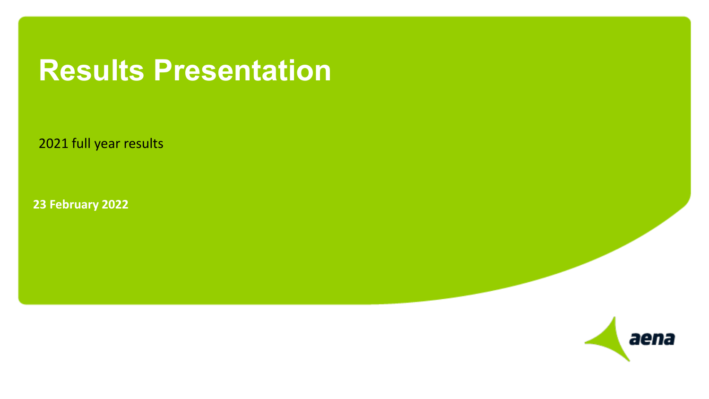## **Results Presentation**

2021 full year results

**23 February 2022**

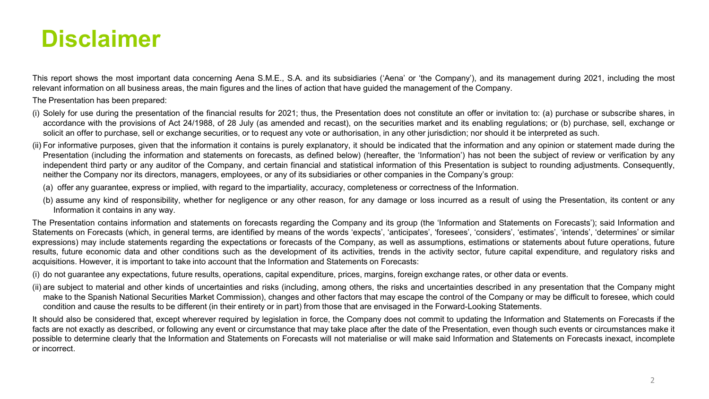### **Disclaimer**

This report shows the most important data concerning Aena S.M.E., S.A. and its subsidiaries ('Aena' or 'the Company'), and its management during 2021, including the most relevant information on all business areas, the main figures and the lines of action that have guided the management of the Company.

The Presentation has been prepared:

- (i) Solely for use during the presentation of the financial results for 2021; thus, the Presentation does not constitute an offer or invitation to: (a) purchase or subscribe shares, in accordance with the provisions of Act 24/1988, of 28 July (as amended and recast), on the securities market and its enabling regulations; or (b) purchase, sell, exchange or solicit an offer to purchase, sell or exchange securities, or to request any vote or authorisation, in any other jurisdiction; nor should it be interpreted as such.
- (ii) For informative purposes, given that the information it contains is purely explanatory, it should be indicated that the information and any opinion or statement made during the Presentation (including the information and statements on forecasts, as defined below) (hereafter, the 'Information') has not been the subject of review or verification by any independent third party or any auditor of the Company, and certain financial and statistical information of this Presentation is subject to rounding adjustments. Consequently, neither the Company nor its directors, managers, employees, or any of its subsidiaries or other companies in the Company's group:
	- (a) offer any guarantee, express or implied, with regard to the impartiality, accuracy, completeness or correctness of the Information.
	- (b) assume any kind of responsibility, whether for negligence or any other reason, for any damage or loss incurred as a result of using the Presentation, its content or any Information it contains in any way.

The Presentation contains information and statements on forecasts regarding the Company and its group (the 'Information and Statements on Forecasts'); said Information and Statements on Forecasts (which, in general terms, are identified by means of the words 'expects', 'anticipates', 'foresees', 'considers', 'estimates', 'intends', 'determines' or similar expressions) may include statements regarding the expectations or forecasts of the Company, as well as assumptions, estimations or statements about future operations, future results, future economic data and other conditions such as the development of its activities, trends in the activity sector, future capital expenditure, and regulatory risks and acquisitions. However, it is important to take into account that the Information and Statements on Forecasts:

- (i) do not guarantee any expectations, future results, operations, capital expenditure, prices, margins, foreign exchange rates, or other data or events.
- (ii) are subject to material and other kinds of uncertainties and risks (including, among others, the risks and uncertainties described in any presentation that the Company might make to the Spanish National Securities Market Commission), changes and other factors that may escape the control of the Company or may be difficult to foresee, which could condition and cause the results to be different (in their entirety or in part) from those that are envisaged in the Forward-Looking Statements.

It should also be considered that, except wherever required by legislation in force, the Company does not commit to updating the Information and Statements on Forecasts if the facts are not exactly as described, or following any event or circumstance that may take place after the date of the Presentation, even though such events or circumstances make it possible to determine clearly that the Information and Statements on Forecasts will not materialise or will make said Information and Statements on Forecasts inexact, incomplete or incorrect.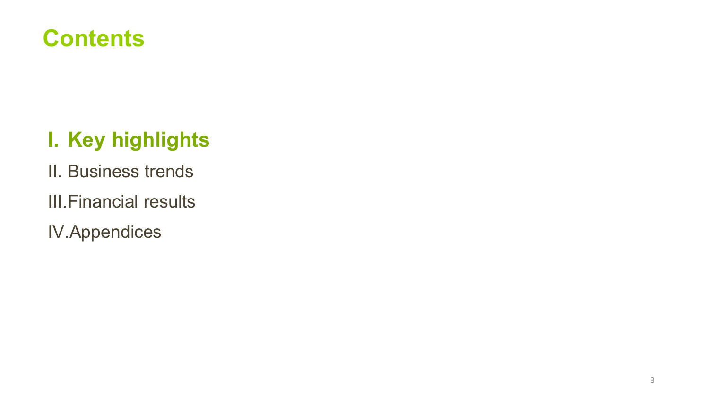### **Contents**

### **I. Key highlights**

- II. Business trends
- III.Financial results
- IV.Appendices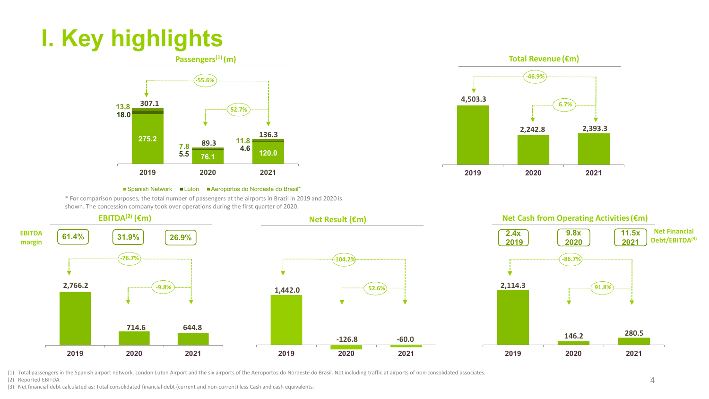### **I. Key highlights**





#### ■Spanish Network ■Luton ■Aeroportos do Nordeste do Brasil\*

\* For comparison purposes, the total number of passengers at the airports in Brazil in 2019 and 2020 is shown. The concession company took over operations during the first quarter of 2020.



(1) Total passengers in the Spanish airport network, London Luton Airport and the six airports of the Aeroportos do Nordeste do Brasil. Not including traffic at airports of non-consolidated associates.

(2) Reported EBITDA

(3) Net financial debt calculated as: Total consolidated financial debt (current and non-current) less Cash and cash equivalents.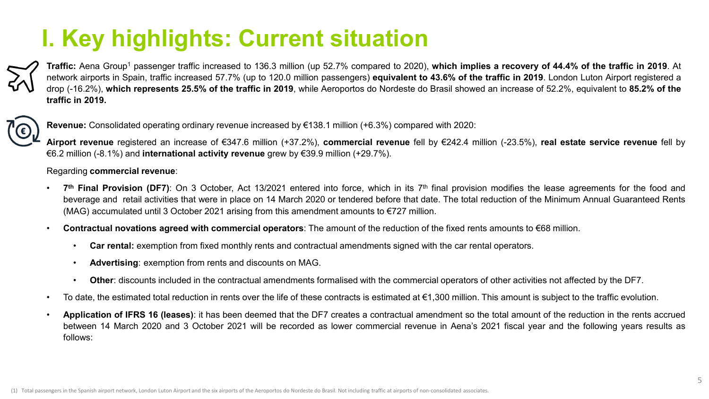### **I. Key highlights: Current situation**

Traffic: Aena Group<sup>1</sup> passenger traffic increased to 136.3 million (up 52.7% compared to 2020), which implies a recovery of 44.4% of the traffic in 2019. At network airports in Spain, traffic increased 57.7% (up to 120.0 million passengers) **equivalent to 43.6% of the traffic in 2019**. London Luton Airport registered a drop (-16.2%), which represents 25.5% of the traffic in 2019, while Aeroportos do Nordeste do Brasil showed an increase of 52.2%, equivalent to 85.2% of the **traffic in 2019.**



**Revenue:** Consolidated operating ordinary revenue increased by €138.1 million (+6.3%) compared with 2020:

**Airport revenue** registered an increase of €347.6 million (+37.2%), **commercial revenue** fell by €242.4 million (-23.5%), **real estate service revenue** fell by €6.2 million (-8.1%) and **international activity revenue** grew by €39.9 million (+29.7%).

#### Regarding **commercial revenue**:

- 7<sup>th</sup> Final Provision (DF7): On 3 October, Act 13/2021 entered into force, which in its 7<sup>th</sup> final provision modifies the lease agreements for the food and beverage and retail activities that were in place on 14 March 2020 or tendered before that date. The total reduction of the Minimum Annual Guaranteed Rents (MAG) accumulated until 3 October 2021 arising from this amendment amounts to  $\epsilon$ 727 million.
- **Contractual novations agreed with commercial operators**: The amount of the reduction of the fixed rents amounts to €68 million.
	- **Car rental:** exemption from fixed monthly rents and contractual amendments signed with the car rental operators.
	- **Advertising**: exemption from rents and discounts on MAG.
	- **Other**: discounts included in the contractual amendments formalised with the commercial operators of other activities not affected by the DF7.
- To date, the estimated total reduction in rents over the life of these contracts is estimated at €1,300 million. This amount is subject to the traffic evolution.
- **Application of IFRS 16 (leases)**: it has been deemed that the DF7 creates a contractual amendment so the total amount of the reduction in the rents accrued between 14 March 2020 and 3 October 2021 will be recorded as lower commercial revenue in Aena's 2021 fiscal year and the following years results as follows: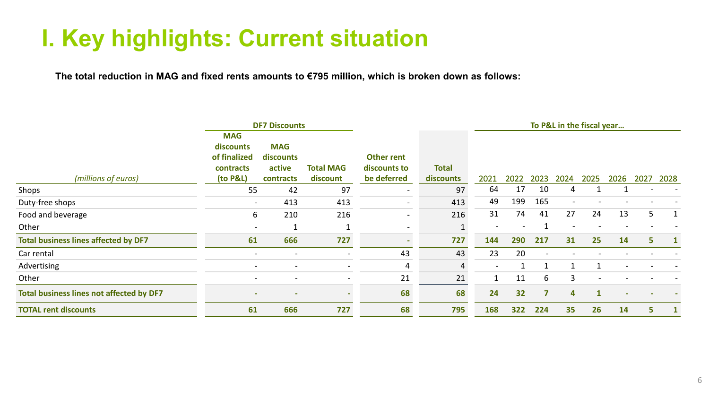### **I. Key highlights: Current situation**

The total reduction in MAG and fixed rents amounts to €795 million, which is broken down as follows:

|                                             |                                         | <b>DF7 Discounts</b>     |                  |              |              | To P&L in the fiscal year |      |             |                 |              |      |      |      |
|---------------------------------------------|-----------------------------------------|--------------------------|------------------|--------------|--------------|---------------------------|------|-------------|-----------------|--------------|------|------|------|
|                                             | <b>MAG</b><br>discounts<br>of finalized | <b>MAG</b><br>discounts  |                  | Other rent   |              |                           |      |             |                 |              |      |      |      |
|                                             | contracts                               | active                   | <b>Total MAG</b> | discounts to | <b>Total</b> |                           |      |             |                 |              |      |      |      |
| (millions of euros)                         | (to P&L)                                | contracts                | discount         | be deferred  | discounts    | 2021                      | 2022 | 2023        | 2024            | 2025         | 2026 | 2027 | 2028 |
| Shops                                       | 55                                      | 42                       | 97               |              | 97           | 64                        | 17   | 10          | 4               |              |      |      |      |
| Duty-free shops                             |                                         | 413                      | 413              | $\sim$       | 413          | 49                        | 199  | 165         | $\qquad \qquad$ |              |      |      |      |
| Food and beverage                           | 6                                       | 210                      | 216              | $\sim$       | 216          | 31                        | 74   | 41          | 27              | 24           | 13   | 5    |      |
| Other                                       |                                         |                          |                  | $\,$         |              | $\overline{\phantom{0}}$  |      |             |                 |              |      |      |      |
| <b>Total business lines affected by DF7</b> | 61                                      | 666                      | 727              | $\sim$       | 727          | 144                       | 290  | 217         | 31              | 25           | 14   | 5    |      |
| Car rental                                  |                                         |                          |                  | 43           | 43           | 23                        | 20   |             |                 |              |      |      |      |
| Advertising                                 |                                         | $\overline{\phantom{a}}$ |                  | 4            | 4            | $\sim$                    |      | $\mathbf 1$ | -1              | $\mathbf{1}$ |      |      |      |
| Other                                       |                                         |                          |                  | 21           | 21           |                           | 11   | 6           | 3               |              |      |      |      |
| Total business lines not affected by DF7    | ۰.                                      | -                        |                  | 68           | 68           | 24                        | 32   | 7           | 4               | $\mathbf{1}$ |      |      |      |
| <b>TOTAL rent discounts</b>                 | 61                                      | 666                      | 727              | 68           | 795          | 168                       | 322  | 224         | 35              | 26           | 14   | 5.   |      |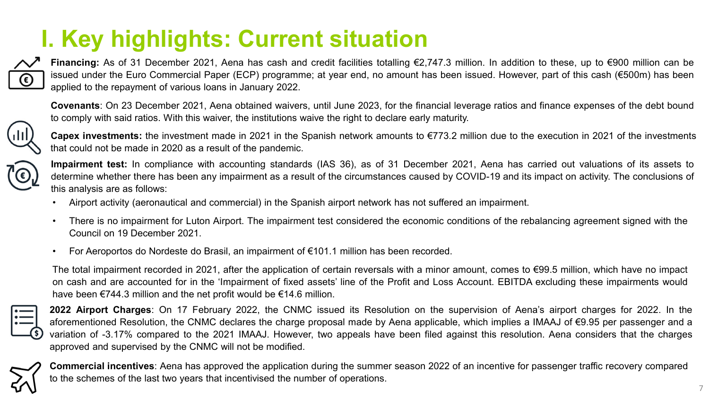### **I. Key highlights: Current situation**



**Financing:** As of 31 December 2021, Aena has cash and credit facilities totalling €2,747.3 million. In addition to these, up to €900 million can be issued under the Euro Commercial Paper (ECP) programme; at year end, no amount has been issued. However, part of this cash (€500m) has been applied to the repayment of various loans in January 2022.

**Covenants**: On 23 December 2021, Aena obtained waivers, until June 2023, for the financial leverage ratios and finance expenses of the debt bound to comply with said ratios. With this waiver, the institutions waive the right to declare early maturity.



**Capex investments:** the investment made in 2021 in the Spanish network amounts to €773.2 million due to the execution in 2021 of the investments that could not be made in 2020 as a result of the pandemic.



**Impairment test:** In compliance with accounting standards (IAS 36), as of 31 December 2021, Aena has carried out valuations of its assets to determine whether there has been any impairment as a result of the circumstances caused by COVID-19 and its impact on activity. The conclusions of this analysis are as follows:

- Airport activity (aeronautical and commercial) in the Spanish airport network has not suffered an impairment.
- There is no impairment for Luton Airport. The impairment test considered the economic conditions of the rebalancing agreement signed with the Council on 19 December 2021.
- For Aeroportos do Nordeste do Brasil, an impairment of €101.1 million has been recorded.

The total impairment recorded in 2021, after the application of certain reversals with a minor amount, comes to €99.5 million, which have no impact on cash and are accounted for in the 'Impairment of fixed assets' line of the Profit and Loss Account. EBITDA excluding these impairments would have been €744.3 million and the net profit would be €14.6 million.



**2022 Airport Charges**: On 17 February 2022, the CNMC issued its Resolution on the supervision of Aena's airport charges for 2022. In the aforementioned Resolution, the CNMC declares the charge proposal made by Aena applicable, which implies a IMAAJ of €9.95 per passenger and a variation of -3.17% compared to the 2021 IMAAJ. However, two appeals have been filed against this resolution. Aena considers that the charges approved and supervised by the CNMC will not be modified.



**Commercial incentives**: Aena has approved the application during the summer season 2022 of an incentive for passenger traffic recovery compared to the schemes of the last two years that incentivised the number of operations.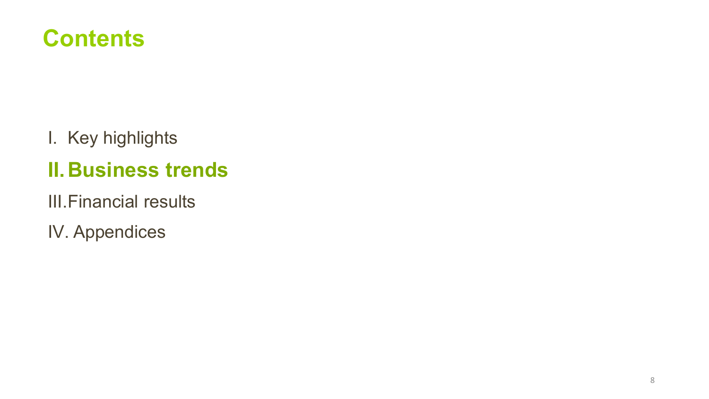

I. Key highlights

### **II.Business trends**

III.Financial results

IV. Appendices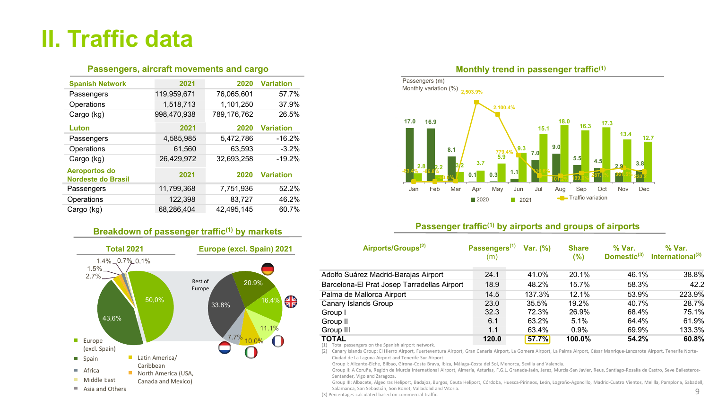### **II. Traffic data**

#### **Passengers, aircraft movements and cargo**

| <b>Spanish Network</b>                            | 2021        | 2020        | <b>Variation</b> |
|---------------------------------------------------|-------------|-------------|------------------|
| Passengers                                        | 119,959,671 | 76,065,601  | 57.7%            |
| Operations                                        | 1,518,713   | 1,101,250   | 37.9%            |
| Cargo (kg)                                        | 998,470,938 | 789,176,762 | 26.5%            |
| Luton                                             | 2021        | 2020        | <b>Variation</b> |
| Passengers                                        | 4,585,985   | 5,472,786   | $-16.2%$         |
| Operations                                        | 61,560      | 63,593      | $-3.2%$          |
| Cargo (kg)                                        | 26,429,972  | 32,693,258  | $-19.2%$         |
| <b>Aeroportos do</b><br><b>Nordeste do Brasil</b> | 2021        | 2020        | <b>Variation</b> |
| Passengers                                        | 11,799,368  | 7,751,936   | 52.2%            |
| Operations                                        | 122,398     | 83,727      | 46.2%            |
| Cargo (kg)                                        | 68,286,404  | 42,495,145  | 60.7%            |

#### **Breakdown of passenger traffic(1) by markets**





#### **Passenger traffic(1) by airports and groups of airports**

| <b>Total 2021</b>                   | Europe (excl. Spain) 2021   | Airports/Groups <sup>(2)</sup>              | Passengers <sup>(1)</sup> | Var. (%) | <b>Share</b> | % Var.                  | % Var.                       |
|-------------------------------------|-----------------------------|---------------------------------------------|---------------------------|----------|--------------|-------------------------|------------------------------|
| $1.4\%$ $0.7\%$ 0,1%<br>$1.5\%$ $-$ |                             |                                             | (m)                       |          | $(\%)$       | Domestic <sup>(3)</sup> | International <sup>(3)</sup> |
| $2.7\%$ —                           |                             | Adolfo Suárez Madrid-Barajas Airport        | 24.1                      | 41.0%    | 20.1%        | 46.1%                   | 38.8%                        |
|                                     | Rest of<br>20.9%<br>Europe  | Barcelona-El Prat Josep Tarradellas Airport | 18.9                      | 48.2%    | 15.7%        | 58.3%                   | 42.2                         |
|                                     |                             | Palma de Mallorca Airport                   | 14.5                      | 137.3%   | 12.1%        | 53.9%                   | 223.9%                       |
| 50,0%                               | <b>AR</b><br>16.49<br>33.8% | Canary Islands Group                        | 23.0                      | 35.5%    | 19.2%        | 40.7%                   | 28.7%                        |
|                                     |                             | Group I                                     | 32.3                      | 72.3%    | 26.9%        | 68.4%                   | 75.1%                        |
| 43,6%                               |                             | Group II                                    | 6.1                       | 63.2%    | 5.1%         | 64.4%                   | 61.9%                        |
|                                     | 11.1%                       | Group III                                   | 1.1                       | 63.4%    | $0.9\%$      | 69.9%                   | 133.3%                       |
| Europe                              | 7.7%                        | <b>TOTAL</b><br>$(4)$ $\pm$ $\pm$ 1         | 120.0                     | 57.7%    | 100.0%       | 54.2%                   | 60.8%                        |

(1) Total passengers on the Spanish airport network.

(2) Canary Islands Group: El Hierro Airport, Fuerteventura Airport, Gran Canaria Airport, La Gomera Airport, La Palma Airport, César Manrique-Lanzarote Airport, Tenerife Norte-Ciudad de La Laguna Airport and Tenerife Sur Airport.

Group I: Alicante-Elche, Bilbao, Girona-Costa Brava, Ibiza, Málaga-Costa del Sol, Menorca, Sevilla and Valencia.

Group II: A Coruña, Región de Murcia International Airport, Almería, Asturias, F.G.L. Granada-Jaén, Jerez, Murcia-San Javier, Reus, Santiago-Rosalía de Castro, Seve Ballesteros-Santander, Vigo and Zaragoza.

Group III: Albacete, Algeciras Heliport, Badajoz, Burgos, Ceuta Heliport, Córdoba, Huesca-Pirineos, León, Logroño-Agoncillo, Madrid-Cuatro Vientos, Melilla, Pamplona, Sabadell, Salamanca, San Sebastián, Son Bonet, Valladolid and Vitoria.

(3) Percentages calculated based on commercial traffic.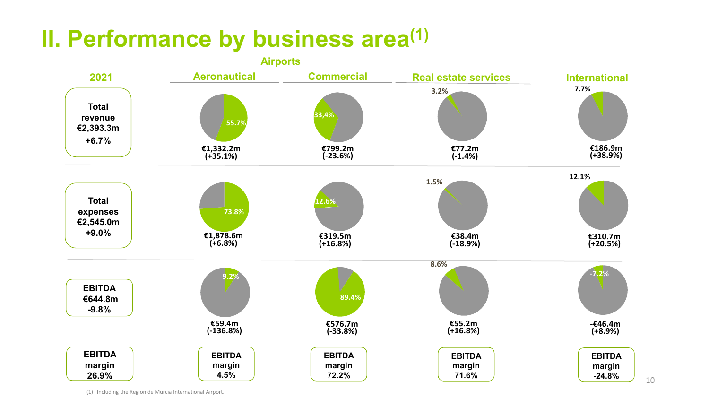### **II. Performance by business area(1)**



(1) Including the Region de Murcia International Airport.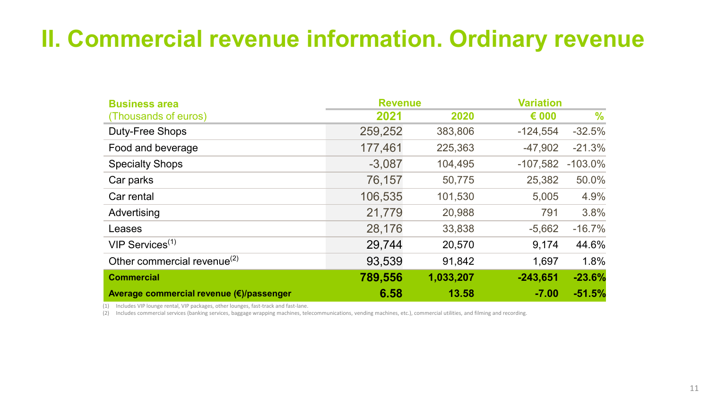### **II. Commercial revenue information. Ordinary revenue**

| <b>Business area</b>                     | <b>Revenue</b> |           | <b>Variation</b> |           |  |  |
|------------------------------------------|----------------|-----------|------------------|-----------|--|--|
| (Thousands of euros)                     | 2021           | 2020      | $\epsilon$ 000   | %         |  |  |
| Duty-Free Shops                          | 259,252        | 383,806   | $-124,554$       | $-32.5%$  |  |  |
| Food and beverage                        | 177,461        | 225,363   | $-47,902$        | $-21.3%$  |  |  |
| <b>Specialty Shops</b>                   | $-3,087$       | 104,495   | $-107,582$       | $-103.0%$ |  |  |
| Car parks                                | 76,157         | 50,775    | 25,382           | 50.0%     |  |  |
| Car rental                               | 106,535        | 101,530   | 5,005            | 4.9%      |  |  |
| Advertising                              | 21,779         | 20,988    | 791              | 3.8%      |  |  |
| Leases                                   | 28,176         | 33,838    | $-5,662$         | $-16.7%$  |  |  |
| $VIP$ Services <sup>(1)</sup>            | 29,744         | 20,570    | 9,174            | 44.6%     |  |  |
| Other commercial revenue <sup>(2)</sup>  | 93,539         | 91,842    | 1,697            | 1.8%      |  |  |
| <b>Commercial</b>                        | 789,556        | 1,033,207 | $-243,651$       | $-23.6%$  |  |  |
| Average commercial revenue (€)/passenger | 6.58           | 13.58     | $-7.00$          | $-51.5%$  |  |  |

(1) Includes VIP lounge rental, VIP packages, other lounges, fast-track and fast-lane.

(2) Includes commercial services (banking services, baggage wrapping machines, telecommunications, vending machines, etc.), commercial utilities, and filming and recording.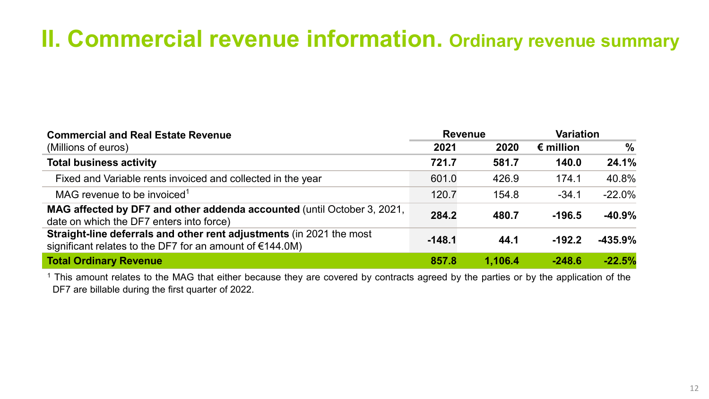### **II. Commercial revenue information. Ordinary revenue summary**

| <b>Commercial and Real Estate Revenue</b>                                                                                                   | <b>Revenue</b> |         | <b>Variation</b>   |               |  |
|---------------------------------------------------------------------------------------------------------------------------------------------|----------------|---------|--------------------|---------------|--|
| (Millions of euros)                                                                                                                         | 2021           | 2020    | $\epsilon$ million | $\frac{0}{0}$ |  |
| <b>Total business activity</b>                                                                                                              | 721.7          | 581.7   | 140.0              | 24.1%         |  |
| Fixed and Variable rents invoiced and collected in the year                                                                                 | 601.0          | 426.9   | 174.1              | 40.8%         |  |
| MAG revenue to be invoiced <sup>1</sup>                                                                                                     | 120.7          | 154.8   | $-34.1$            | $-22.0%$      |  |
| <b>MAG affected by DF7 and other addenda accounted (until October 3, 2021,</b><br>date on which the DF7 enters into force)                  | 284.2          | 480.7   | $-196.5$           | $-40.9%$      |  |
| <b>Straight-line deferrals and other rent adjustments (in 2021 the most)</b><br>significant relates to the DF7 for an amount of $€144.0M$ ) | $-148.1$       | 44.1    | $-192.2$           | $-435.9%$     |  |
| <b>Total Ordinary Revenue</b>                                                                                                               | 857.8          | 1,106.4 | $-248.6$           | $-22.5%$      |  |

<sup>1</sup> This amount relates to the MAG that either because they are covered by contracts agreed by the parties or by the application of the DF7 are billable during the first quarter of 2022.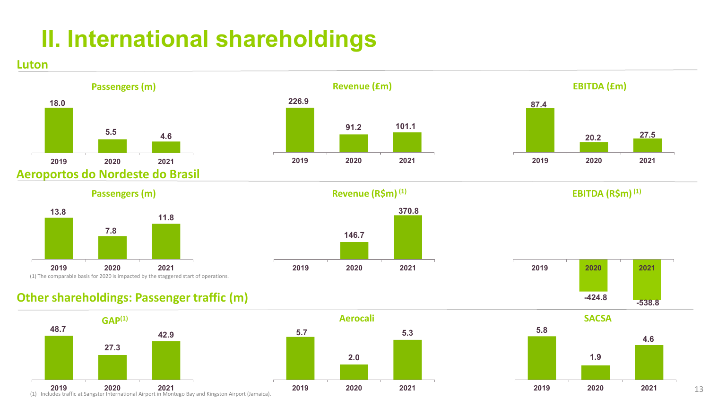### **II. International shareholdings**









#### **Passengers (m)**

**Luton**



#### **Revenue (R\$m)** <sup>(1)</sup> **EBITDA (R\$m)** <sup>(1)</sup>







13

#### **Other shareholdings: Passenger traffic (m)**



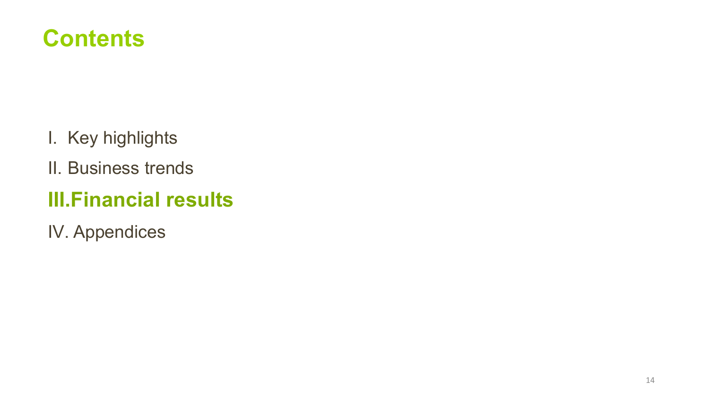

- I. Key highlights
- II. Business trends

### **III.Financial results**

IV. Appendices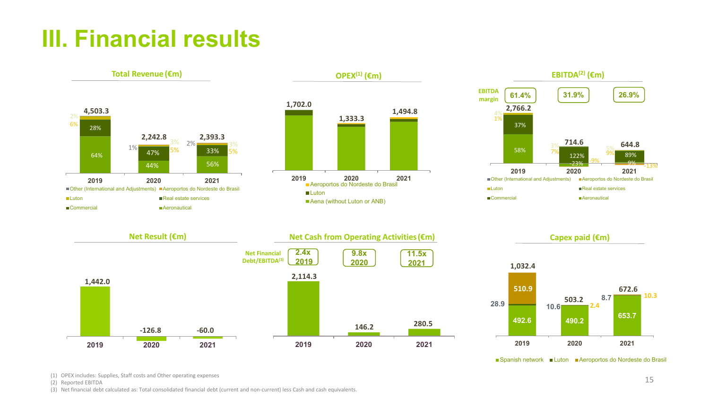### **III. Financial results**



■Spanish network ■Luton ■Aeroportos do Nordeste do Brasil

(1) OPEX includes: Supplies, Staff costs and Other operating expenses

(2) Reported EBITDA

(3) Net financial debt calculated as: Total consolidated financial debt (current and non-current) less Cash and cash equivalents.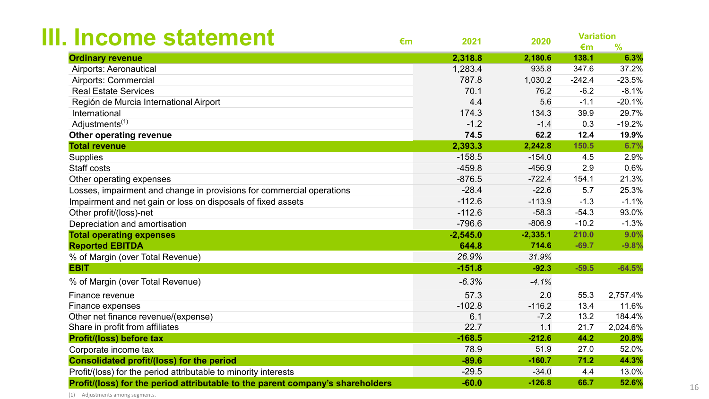| III. Income statement                                                          | €m | 2021       | 2020       | <b>Variation</b><br>€m | $\frac{9}{6}$ |
|--------------------------------------------------------------------------------|----|------------|------------|------------------------|---------------|
| <b>Ordinary revenue</b>                                                        |    | 2,318.8    | 2,180.6    | 138.1                  | 6.3%          |
| <b>Airports: Aeronautical</b>                                                  |    | 1,283.4    | 935.8      | 347.6                  | 37.2%         |
| <b>Airports: Commercial</b>                                                    |    | 787.8      | 1,030.2    | $-242.4$               | $-23.5%$      |
| <b>Real Estate Services</b>                                                    |    | 70.1       | 76.2       | $-6.2$                 | $-8.1%$       |
| Región de Murcia International Airport                                         |    | 4.4        | 5.6        | $-1.1$                 | $-20.1%$      |
| International                                                                  |    | 174.3      | 134.3      | 39.9                   | 29.7%         |
| Adjustments <sup>(1)</sup>                                                     |    | $-1.2$     | $-1.4$     | 0.3                    | $-19.2%$      |
| Other operating revenue                                                        |    | 74.5       | 62.2       | 12.4                   | 19.9%         |
| <b>Total revenue</b>                                                           |    | 2,393.3    | 2,242.8    | 150.5                  | 6.7%          |
| <b>Supplies</b>                                                                |    | $-158.5$   | $-154.0$   | 4.5                    | 2.9%          |
| Staff costs                                                                    |    | $-459.8$   | $-456.9$   | 2.9                    | 0.6%          |
| Other operating expenses                                                       |    | $-876.5$   | $-722.4$   | 154.1                  | 21.3%         |
| Losses, impairment and change in provisions for commercial operations          |    | $-28.4$    | $-22.6$    | 5.7                    | 25.3%         |
| Impairment and net gain or loss on disposals of fixed assets                   |    | $-112.6$   | $-113.9$   | $-1.3$                 | $-1.1%$       |
| Other profit/(loss)-net                                                        |    | $-112.6$   | $-58.3$    | $-54.3$                | 93.0%         |
| Depreciation and amortisation                                                  |    | $-796.6$   | $-806.9$   | $-10.2$                | $-1.3%$       |
| <b>Total operating expenses</b>                                                |    | $-2,545.0$ | $-2,335.1$ | 210.0                  | 9.0%          |
| <b>Reported EBITDA</b>                                                         |    | 644.8      | 714.6      | $-69.7$                | $-9.8%$       |
| % of Margin (over Total Revenue)                                               |    | 26.9%      | 31.9%      |                        |               |
| <b>EBIT</b>                                                                    |    | $-151.8$   | $-92.3$    | $-59.5$                | $-64.5%$      |
| % of Margin (over Total Revenue)                                               |    | $-6.3%$    | $-4.1%$    |                        |               |
| Finance revenue                                                                |    | 57.3       | 2.0        | 55.3                   | 2,757.4%      |
| Finance expenses                                                               |    | $-102.8$   | $-116.2$   | 13.4                   | 11.6%         |
| Other net finance revenue/(expense)                                            |    | 6.1        | $-7.2$     | 13.2                   | 184.4%        |
| Share in profit from affiliates                                                |    | 22.7       | 1.1        | 21.7                   | 2,024.6%      |
| <b>Profit/(loss) before tax</b>                                                |    | $-168.5$   | $-212.6$   | 44.2                   | 20.8%         |
| Corporate income tax                                                           |    | 78.9       | 51.9       | 27.0                   | 52.0%         |
| <b>Consolidated profit/(loss) for the period</b>                               |    | $-89.6$    | $-160.7$   | 71.2                   | 44.3%         |
| Profit/(loss) for the period attributable to minority interests                |    | $-29.5$    | $-34.0$    | 4.4                    | 13.0%         |
| Profit/(loss) for the period attributable to the parent company's shareholders |    | $-60.0$    | $-126.8$   | 66.7                   | 52.6%         |

(1) Adjustments among segments.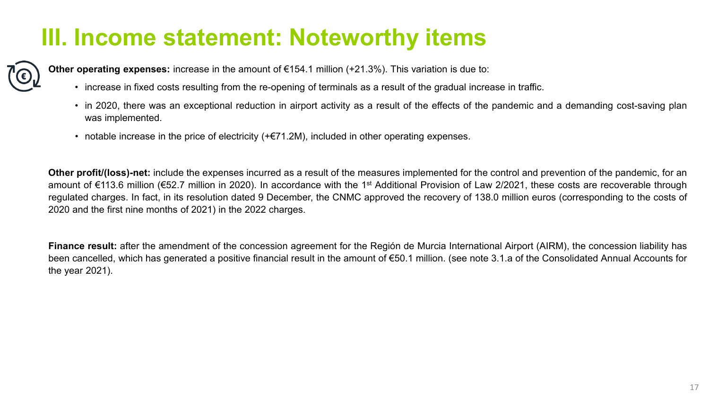### **III. Income statement: Noteworthy items**

**Other operating expenses:** increase in the amount of €154.1 million (+21.3%). This variation is due to:

- increase in fixed costs resulting from the re-opening of terminals as a result of the gradual increase in traffic.
- in 2020, there was an exceptional reduction in airport activity as a result of the effects of the pandemic and a demanding cost-saving plan was implemented.
- notable increase in the price of electricity  $(+\epsilon 71.2M)$ , included in other operating expenses.

**Other profit/(loss)-net:** include the expenses incurred as a result of the measures implemented for the control and prevention of the pandemic, for an amount of €113.6 million (€52.7 million in 2020). In accordance with the 1st Additional Provision of Law 2/2021, these costs are recoverable through regulated charges. In fact, in its resolution dated 9 December, the CNMC approved the recovery of 138.0 million euros (corresponding to the costs of 2020 and the first nine months of 2021) in the 2022 charges.

**Finance result:** after the amendment of the concession agreement for the Región de Murcia International Airport (AIRM), the concession liability has been cancelled, which has generated a positive financial result in the amount of €50.1 million. (see note 3.1.a of the Consolidated Annual Accounts for the year 2021).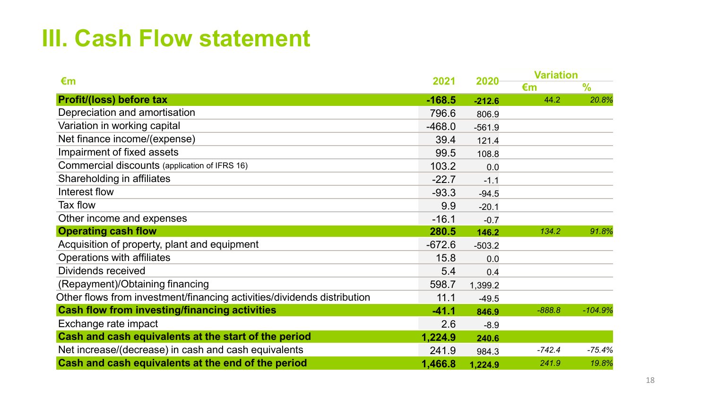### **III. Cash Flow statement**

| €m                                                                      | 2021     | 2020     | <b>Variation</b> |               |  |
|-------------------------------------------------------------------------|----------|----------|------------------|---------------|--|
|                                                                         |          |          | €m               | $\frac{9}{6}$ |  |
| <b>Profit/(loss) before tax</b>                                         | $-168.5$ | $-212.6$ | 44.2             | 20.8%         |  |
| Depreciation and amortisation                                           | 796.6    | 806.9    |                  |               |  |
| Variation in working capital                                            | $-468.0$ | $-561.9$ |                  |               |  |
| Net finance income/(expense)                                            | 39.4     | 121.4    |                  |               |  |
| Impairment of fixed assets                                              | 99.5     | 108.8    |                  |               |  |
| Commercial discounts (application of IFRS 16)                           | 103.2    | 0.0      |                  |               |  |
| Shareholding in affiliates                                              | $-22.7$  | $-1.1$   |                  |               |  |
| Interest flow                                                           | $-93.3$  | $-94.5$  |                  |               |  |
| Tax flow                                                                | 9.9      | $-20.1$  |                  |               |  |
| Other income and expenses                                               | $-16.1$  | $-0.7$   |                  |               |  |
| <b>Operating cash flow</b>                                              | 280.5    | 146.2    | 134.2            | 91.8%         |  |
| Acquisition of property, plant and equipment                            | $-672.6$ | $-503.2$ |                  |               |  |
| Operations with affiliates                                              | 15.8     | 0.0      |                  |               |  |
| Dividends received                                                      | 5.4      | 0.4      |                  |               |  |
| (Repayment)/Obtaining financing                                         | 598.7    | 1,399.2  |                  |               |  |
| Other flows from investment/financing activities/dividends distribution | 11.1     | $-49.5$  |                  |               |  |
| <b>Cash flow from investing/financing activities</b>                    | $-41.1$  | 846.9    | $-888.8$         | $-104.9%$     |  |
| Exchange rate impact                                                    | 2.6      | $-8.9$   |                  |               |  |
| Cash and cash equivalents at the start of the period                    | 1,224.9  | 240.6    |                  |               |  |
| Net increase/(decrease) in cash and cash equivalents                    | 241.9    | 984.3    | $-742.4$         | $-75.4%$      |  |
| Cash and cash equivalents at the end of the period                      | 1,466.8  | 1,224.9  | 241.9            | 19.8%         |  |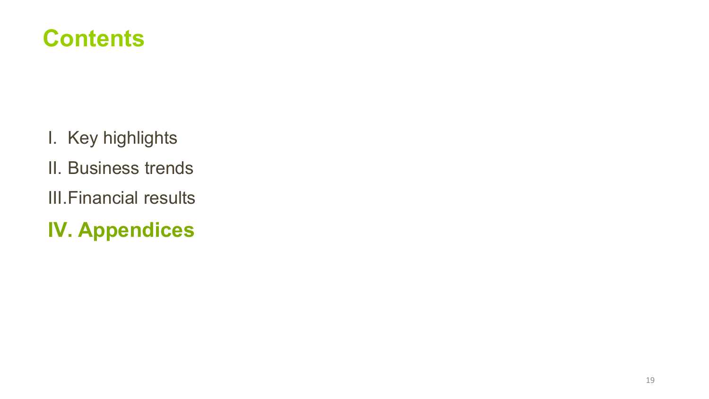### **Contents**

- I. Key highlights
- II. Business trends
- III.Financial results
- **IV. Appendices**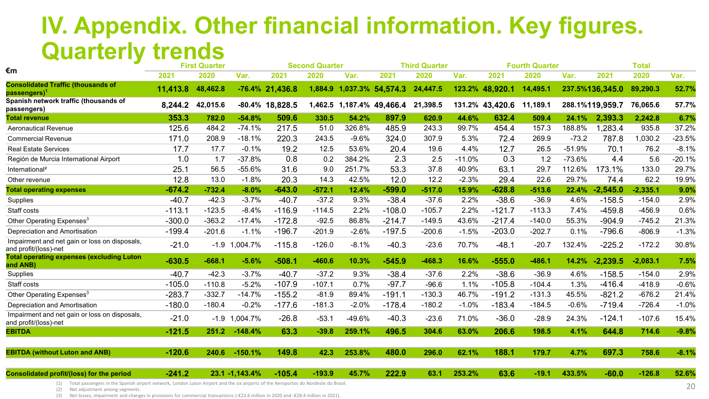### **IV. Appendix. Other financial information. Key figures. Quarterly trends**

| €m                                                                     |          | <b>First Quarter</b> |                |                 | <b>Second Quarter</b> |         |                   | <b>Third Quarter</b> |          |                 | <b>Fourth Quarter</b> |          |                 | <b>Total</b> |          |
|------------------------------------------------------------------------|----------|----------------------|----------------|-----------------|-----------------------|---------|-------------------|----------------------|----------|-----------------|-----------------------|----------|-----------------|--------------|----------|
|                                                                        | 2021     | 2020                 | Var.           | 2021            | 2020                  | Var.    | 2021              | 2020                 | Var.     | 2021            | 2020                  | Var.     | 2021            | 2020         | Var.     |
| <b>Consolidated Traffic (thousands of</b><br>passengers) <sup>1</sup>  | 11,413.8 | 48,462.8             |                | -76.4% 21,436.8 | 1,884.9               |         | 1,037.3% 54,574.3 | 24,447.5             | 123.2%   | 48,920.1        | 14,495.1              |          | 237.5%136,345.0 | 89,290.3     | 52.7%    |
| Spanish network traffic (thousands of<br>passengers)                   | 8,244.2  | 42,015.6             |                | -80.4% 18,828.5 | 1,462.5               |         | 1,187.4% 49,466.4 | 21,398.5             |          | 131.2% 43,420.6 | 11,189.1              |          | 288.1%119,959.7 | 76,065.6     | 57.7%    |
| <b>Total revenue</b>                                                   | 353.3    | 782.0                | $-54.8%$       | 509.6           | 330.5                 | 54.2%   | 897.9             | 620.9                | 44.6%    | 632.4           | 509.4                 | 24.1%    | 2,393.3         | 2,242.8      | 6.7%     |
| <b>Aeronautical Revenue</b>                                            | 125.6    | 484.2                | $-74.1%$       | 217.5           | 51.0                  | 326.8%  | 485.9             | 243.3                | 99.7%    | 454.4           | 157.3                 | 188.8%   | 1,283.4         | 935.8        | 37.2%    |
| <b>Commercial Revenue</b>                                              | 171.0    | 208.9                | $-18.1%$       | 220.3           | 243.5                 | $-9.6%$ | 324.0             | 307.9                | 5.3%     | 72.4            | 269.9                 | $-73.2$  | 787.8           | 1,030.2      | $-23.5%$ |
| <b>Real Estate Services</b>                                            | 17.7     | 17.7                 | $-0.1%$        | 19.2            | 12.5                  | 53.6%   | 20.4              | 19.6                 | 4.4%     | 12.7            | 26.5                  | $-51.9%$ | 70.1            | 76.2         | $-8.1%$  |
| Región de Murcia International Airport                                 | 1.0      | 1.7                  | $-37.8%$       | 0.8             | 0.2                   | 384.2%  | 2.3               | 2.5                  | $-11.0%$ | 0.3             | 1.2                   | $-73.6%$ | 4.4             | 5.6          | $-20.1%$ |
| International <sup>2</sup>                                             | 25.1     | 56.5                 | $-55.6%$       | 31.6            | 9.0                   | 251.7%  | 53.3              | 37.8                 | 40.9%    | 63.1            | 29.7                  | 112.6%   | 173.1%          | 133.0        | 29.7%    |
| Other revenue                                                          | 12.8     | 13.0                 | $-1.8%$        | 20.3            | 14.3                  | 42.5%   | 12.0              | 12.2                 | $-2.3%$  | 29.4            | 22.6                  | 29.7%    | 74.4            | 62.2         | 19.9%    |
| <b>Total operating expenses</b>                                        | $-674.2$ | $-732.4$             | $-8.0%$        | $-643.0$        | $-572.1$              | 12.4%   | $-599.0$          | $-517.0$             | 15.9%    | $-628.8$        | $-513.6$              | 22.4%    | $-2,545.0$      | $-2,335.1$   | 9.0%     |
| Supplies                                                               | $-40.7$  | $-42.3$              | $-3.7%$        | $-40.7$         | $-37.2$               | 9.3%    | $-38.4$           | $-37.6$              | 2.2%     | $-38.6$         | $-36.9$               | 4.6%     | $-158.5$        | $-154.0$     | 2.9%     |
| Staff costs                                                            | $-113.1$ | $-123.5$             | $-8.4%$        | $-116.9$        | $-114.5$              | 2.2%    | $-108.0$          | $-105.7$             | 2.2%     | $-121.7$        | $-113.3$              | 7.4%     | $-459.8$        | $-456.9$     | 0.6%     |
| Other Operating Expenses <sup>3</sup>                                  | $-300.0$ | $-363.2$             | $-17.4%$       | $-172.8$        | $-92.5$               | 86.8%   | $-214.7$          | $-149.5$             | 43.6%    | $-217.4$        | $-140.0$              | 55.3%    | $-904.9$        | $-745.2$     | 21.3%    |
| Depreciation and Amortisation                                          | $-199.4$ | $-201.6$             | $-1.1%$        | $-196.7$        | $-201.9$              | $-2.6%$ | $-197.5$          | $-200.6$             | $-1.5%$  | $-203.0$        | $-202.7$              | 0.1%     | $-796.6$        | $-806.9$     | $-1.3%$  |
| Impairment and net gain or loss on disposals,<br>and profit/(loss)-net | $-21.0$  | $-1.9$               | 1,004.7%       | $-115.8$        | $-126.0$              | $-8.1%$ | $-40.3$           | $-23.6$              | 70.7%    | $-48.1$         | $-20.7$               | 132.4%   | $-225.2$        | $-172.2$     | 30.8%    |
| <b>Total operating expenses (excluding Luton</b><br>and ANB)           | $-630.5$ | $-668.1$             | $-5.6%$        | $-508.1$        | $-460.6$              | 10.3%   | $-545.9$          | $-468.3$             | 16.6%    | $-555.0$        | $-486.1$              | 14.2%    | $-2,239.5$      | $-2,083.1$   | 7.5%     |
| Supplies                                                               | $-40.7$  | $-42.3$              | $-3.7%$        | $-40.7$         | $-37.2$               | 9.3%    | $-38.4$           | $-37.6$              | 2.2%     | $-38.6$         | $-36.9$               | 4.6%     | $-158.5$        | $-154.0$     | 2.9%     |
| Staff costs                                                            | $-105.0$ | $-110.8$             | $-5.2%$        | $-107.9$        | $-107.1$              | 0.7%    | $-97.7$           | $-96.6$              | 1.1%     | $-105.8$        | $-104.4$              | 1.3%     | $-416.4$        | $-418.9$     | $-0.6%$  |
| Other Operating Expenses <sup>3</sup>                                  | $-283.7$ | $-332.7$             | $-14.7%$       | $-155.2$        | $-81.9$               | 89.4%   | $-191.1$          | $-130.3$             | 46.7%    | $-191.2$        | $-131.3$              | 45.5%    | $-821.2$        | $-676.2$     | 21.4%    |
| Depreciation and Amortisation                                          | $-180.0$ | $-180.4$             | $-0.2%$        | $-177.6$        | $-181.3$              | $-2.0%$ | $-178.4$          | $-180.2$             | $-1.0%$  | $-183.4$        | $-184.5$              | $-0.6%$  | $-719.4$        | $-726.4$     | $-1.0%$  |
| Impairment and net gain or loss on disposals,<br>and profit/(loss)-net | $-21.0$  | $-1.9$               | 1,004.7%       | $-26.8$         | $-53.1$               | -49.6%  | $-40.3$           | $-23.6$              | 71.0%    | $-36.0$         | $-28.9$               | 24.3%    | $-124.1$        | $-107.6$     | 15.4%    |
| <b>EBITDA</b>                                                          | $-121.5$ | 251.2                | $-148.4%$      | 63.3            | $-39.8$               | 259.1%  | 496.5             | 304.6                | 63.0%    | 206.6           | 198.5                 | 4.1%     | 644.8           | 714.6        | $-9.8%$  |
| <b>EBITDA (without Luton and ANB)</b>                                  | $-120.6$ | 240.6                | $-150.1%$      | 149.8           | 42.3                  | 253.8%  | 480.0             | 296.0                | 62.1%    | 188.1           | 179.7                 | 4.7%     | 697.3           | 758.6        | $-8.1%$  |
| Consolidated profit/(loss) for the period                              | $-241.2$ |                      | 23.1 -1,143.4% | $-105.4$        | $-193.9$              | 45.7%   | 222.9             | 63.1                 | 253.2%   | 63.6            | $-19.1$               | 433.5%   | $-60.0$         | $-126.8$     | 52.6%    |

(1) Total passengers in the Spanish airport network, London Luton Airport and the six airports of the Aeroportos do Nordeste do Brasil.

(2) Net adjustment among segments.

(3) Net losses, impairment and changes in provisions for commercial transactions (-€22.6 million in 2020 and -€28.4 million in 2021).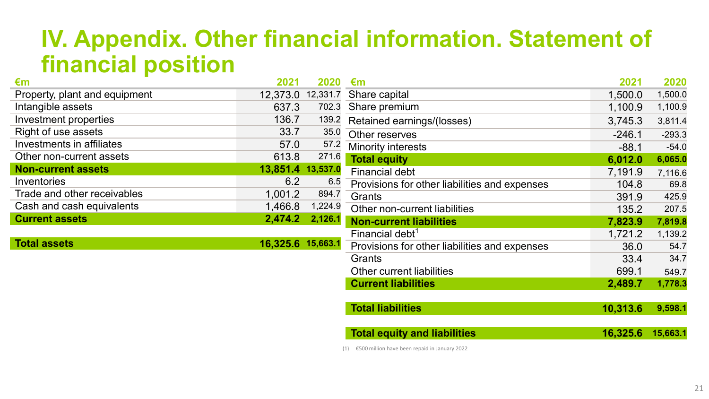### **IV. Appendix. Other financial information. Statement of financial position**

| €m                            | 2021              | 2020    | €m                                            | 2021     | 2020     |
|-------------------------------|-------------------|---------|-----------------------------------------------|----------|----------|
| Property, plant and equipment | 12,373.0          |         | 12,331.7 Share capital                        | 1,500.0  | 1,500.0  |
| Intangible assets             | 637.3             |         | 702.3 Share premium                           | 1,100.9  | 1,100.9  |
| Investment properties         | 136.7             | 139.2   | Retained earnings/(losses)                    | 3,745.3  | 3,811.4  |
| Right of use assets           | 33.7              | 35.0    | Other reserves                                | $-246.1$ | $-293.3$ |
| Investments in affiliates     | 57.0              | 57.2    | Minority interests                            | $-88.1$  | $-54.0$  |
| Other non-current assets      | 613.8             | 271.6   | <b>Total equity</b>                           | 6,012.0  | 6,065.0  |
| <b>Non-current assets</b>     | 13,851.4 13,537.0 |         | <b>Financial debt</b>                         | 7,191.9  | 7,116.6  |
| <b>Inventories</b>            | 6.2               | 6.5     | Provisions for other liabilities and expenses | 104.8    | 69.8     |
| Trade and other receivables   | 1,001.2           | 894.7   | Grants                                        | 391.9    | 425.9    |
| Cash and cash equivalents     | 1,466.8           | 1,224.9 | Other non-current liabilities                 | 135.2    | 207.5    |
| <b>Current assets</b>         | 2,474.2           | 2,126.1 | <b>Non-current liabilities</b>                | 7,823.9  | 7,819.8  |
|                               |                   |         | Financial debt <sup>1</sup>                   | 1,721.2  | 1,139.2  |
| <b>Total assets</b>           | 16,325.6 15,663.1 |         | Provisions for other liabilities and expenses | 36.0     | 54.7     |
|                               |                   |         | Grants                                        | 33.4     | 34.7     |
|                               |                   |         | <b>Other current liabilities</b>              | 699.1    | 549.7    |
|                               |                   |         | <b>Current liabilities</b>                    | 2,489.7  | 1,778.3  |
|                               |                   |         |                                               |          |          |
|                               |                   |         | <b>Total liabilities</b>                      | 10,313.6 | 9,598.1  |
|                               |                   |         | <b>Total equity and liabilities</b>           | 16,325.6 | 15,663.1 |
|                               |                   |         |                                               |          |          |

(1) €500 million have been repaid in January 2022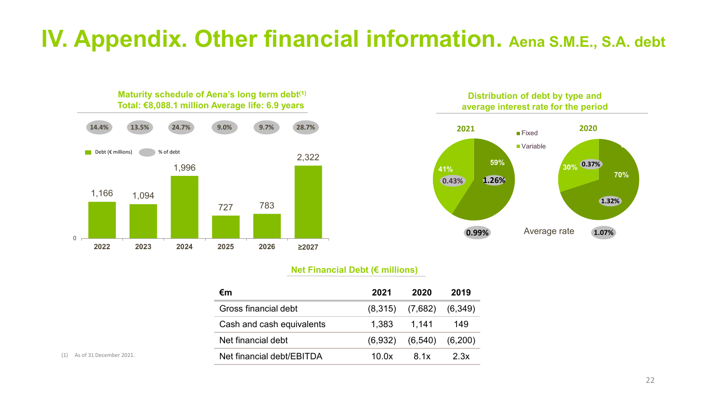### **IV. Appendix. Other financial information. Aena S.M.E., S.A. debt**



**Maturity schedule of Aena's long term debt(1)**



#### **Net Financial Debt (€ millions)**

| €m                        | 2021  | 2020                          | 2019 |
|---------------------------|-------|-------------------------------|------|
| Gross financial debt      |       | $(8,315)$ $(7,682)$ $(6,349)$ |      |
| Cash and cash equivalents | 1.383 | 1,141                         | 149  |
| Net financial debt        |       | $(6,932)$ $(6,540)$ $(6,200)$ |      |
| Net financial debt/EBITDA | 100x  | 8 1 x                         | 2.3x |

(1) As of 31 December 2021.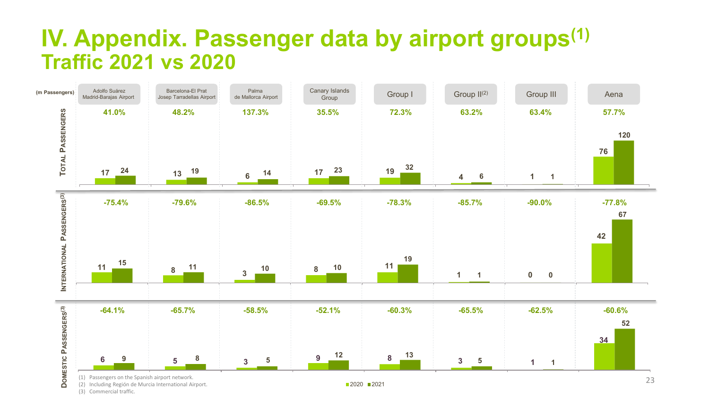### **IV. Appendix. Passenger data by airport groups(1) Traffic 2021 vs 2020**

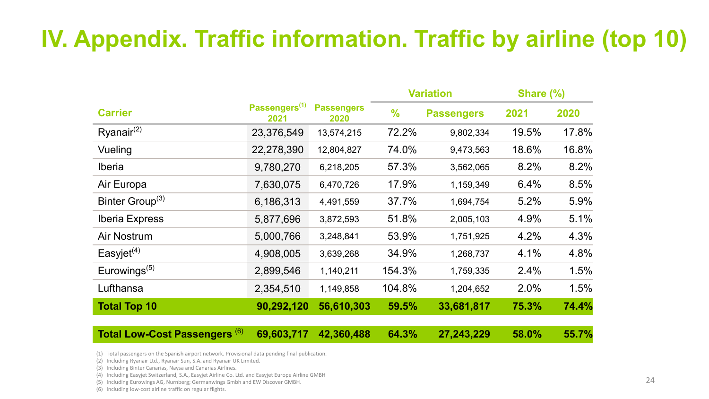### **IV. Appendix. Traffic information. Traffic by airline (top 10)**

|                                          |                                   |                           |               | <b>Variation</b>  | Share (%) |       |  |
|------------------------------------------|-----------------------------------|---------------------------|---------------|-------------------|-----------|-------|--|
| <b>Carrier</b>                           | Passengers <sup>(1)</sup><br>2021 | <b>Passengers</b><br>2020 | $\frac{9}{6}$ | <b>Passengers</b> | 2021      | 2020  |  |
| $R$ yanair <sup>(2)</sup>                | 23,376,549                        | 13,574,215                | 72.2%         | 9,802,334         | 19.5%     | 17.8% |  |
| Vueling                                  | 22,278,390                        | 12,804,827                | 74.0%         | 9,473,563         | 18.6%     | 16.8% |  |
| <b>Iberia</b>                            | 9,780,270                         | 6,218,205                 | 57.3%         | 3,562,065         | 8.2%      | 8.2%  |  |
| Air Europa                               | 7,630,075                         | 6,470,726                 | 17.9%         | 1,159,349         | 6.4%      | 8.5%  |  |
| Binter Group <sup>(3)</sup>              | 6,186,313                         | 4,491,559                 | 37.7%         | 1,694,754         | 5.2%      | 5.9%  |  |
| <b>Iberia Express</b>                    | 5,877,696                         | 3,872,593                 | 51.8%         | 2,005,103         | 4.9%      | 5.1%  |  |
| <b>Air Nostrum</b>                       | 5,000,766                         | 3,248,841                 | 53.9%         | 1,751,925         | 4.2%      | 4.3%  |  |
| Easyjet $(4)$                            | 4,908,005                         | 3,639,268                 | 34.9%         | 1,268,737         | 4.1%      | 4.8%  |  |
| Eurowings $(5)$                          | 2,899,546                         | 1,140,211                 | 154.3%        | 1,759,335         | 2.4%      | 1.5%  |  |
| Lufthansa                                | 2,354,510                         | 1,149,858                 | 104.8%        | 1,204,652         | 2.0%      | 1.5%  |  |
| <b>Total Top 10</b>                      | 90,292,120                        | 56,610,303                | 59.5%         | 33,681,817        | 75.3%     | 74.4% |  |
| Total Low-Cost Passengers <sup>(6)</sup> | 69,603,717                        | 42,360,488                | 64.3%         | 27,243,229        | 58.0%     | 55.7% |  |

(1) Total passengers on the Spanish airport network. Provisional data pending final publication.

- (2) Including Ryanair Ltd., Ryanair Sun, S.A. and Ryanair UK Limited.
- (3) Including Binter Canarias, Naysa and Canarias Airlines.
- (4) Including Easyjet Switzerland, S.A., Easyjet Airline Co. Ltd. and Easyjet Europe Airline GMBH
- (5) Including Eurowings AG, Nurnberg; Germanwings Gmbh and EW Discover GMBH.
- (6) Including low-cost airline traffic on regular flights.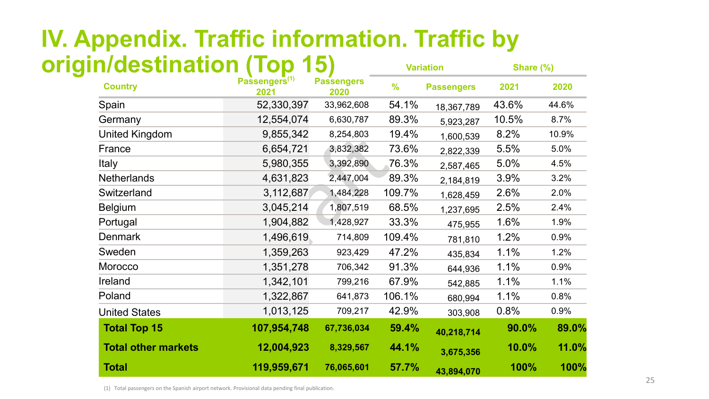### **Variation Share (%) IV. Appendix. Traffic information. Traffic by origin/destination (Top 15)**

| <b>Country</b>             | Passengers <sup>(1)</sup><br>2021 | <b>Passengers</b><br>2020 | $\frac{9}{6}$ | <b>Passengers</b> | 2021  | 2020  |
|----------------------------|-----------------------------------|---------------------------|---------------|-------------------|-------|-------|
| Spain                      | 52,330,397                        | 33,962,608                | 54.1%         | 18,367,789        | 43.6% | 44.6% |
| Germany                    | 12,554,074                        | 6,630,787                 | 89.3%         | 5,923,287         | 10.5% | 8.7%  |
| <b>United Kingdom</b>      | 9,855,342                         | 8,254,803                 | 19.4%         | 1,600,539         | 8.2%  | 10.9% |
| France                     | 6,654,721                         | 3,832,382                 | 73.6%         | 2,822,339         | 5.5%  | 5.0%  |
| Italy                      | 5,980,355                         | 3,392,890                 | 76.3%         | 2,587,465         | 5.0%  | 4.5%  |
| <b>Netherlands</b>         | 4,631,823                         | 2,447,004                 | 89.3%         | 2,184,819         | 3.9%  | 3.2%  |
| Switzerland                | 3,112,687                         | 1,484,228                 | 109.7%        | 1,628,459         | 2.6%  | 2.0%  |
| <b>Belgium</b>             | 3,045,214                         | 1,807,519                 | 68.5%         | 1,237,695         | 2.5%  | 2.4%  |
| Portugal                   | 1,904,882                         | 1,428,927                 | 33.3%         | 475,955           | 1.6%  | 1.9%  |
| <b>Denmark</b>             | 1,496,619                         | 714,809                   | 109.4%        | 781,810           | 1.2%  | 0.9%  |
| Sweden                     | 1,359,263                         | 923,429                   | 47.2%         | 435,834           | 1.1%  | 1.2%  |
| Morocco                    | 1,351,278                         | 706,342                   | 91.3%         | 644,936           | 1.1%  | 0.9%  |
| Ireland                    | 1,342,101                         | 799,216                   | 67.9%         | 542,885           | 1.1%  | 1.1%  |
| Poland                     | 1,322,867                         | 641,873                   | 106.1%        | 680,994           | 1.1%  | 0.8%  |
| <b>United States</b>       | 1,013,125                         | 709,217                   | 42.9%         | 303,908           | 0.8%  | 0.9%  |
| <b>Total Top 15</b>        | 107,954,748                       | 67,736,034                | 59.4%         | 40,218,714        | 90.0% | 89.0% |
| <b>Total other markets</b> | 12,004,923                        | 8,329,567                 | 44.1%         | 3,675,356         | 10.0% | 11.0% |
| <b>Total</b>               | 119,959,671                       | 76,065,601                | 57.7%         | 43,894,070        | 100%  | 100%  |

(1) Total passengers on the Spanish airport network. Provisional data pending final publication.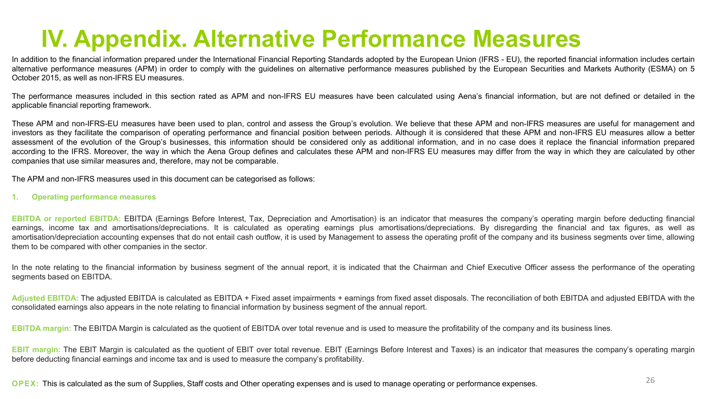### **IV. Appendix. Alternative Performance Measures**

In addition to the financial information prepared under the International Financial Reporting Standards adopted by the European Union (IFRS - EU), the reported financial information includes certain alternative performance measures (APM) in order to comply with the guidelines on alternative performance measures published by the European Securities and Markets Authority (ESMA) on 5 October 2015, as well as non-IFRS EU measures.

The performance measures included in this section rated as APM and non-IFRS EU measures have been calculated using Aena's financial information, but are not defined or detailed in the applicable financial reporting framework.

These APM and non-IFRS-EU measures have been used to plan, control and assess the Group's evolution. We believe that these APM and non-IFRS measures are useful for management and investors as they facilitate the comparison of operating performance and financial position between periods. Although it is considered that these APM and non-IFRS EU measures allow a better assessment of the evolution of the Group's businesses, this information should be considered only as additional information, and in no case does it replace the financial information prepared according to the IFRS. Moreover, the way in which the Aena Group defines and calculates these APM and non-IFRS EU measures may differ from the way in which they are calculated by other companies that use similar measures and, therefore, may not be comparable.

The APM and non-IFRS measures used in this document can be categorised as follows:

**1. Operating performance measures**

**EBITDA or reported EBITDA:** EBITDA (Earnings Before Interest, Tax, Depreciation and Amortisation) is an indicator that measures the company's operating margin before deducting financial earnings, income tax and amortisations/depreciations. It is calculated as operating earnings plus amortisations/depreciations. By disregarding the financial and tax figures, as well as amortisation/depreciation accounting expenses that do not entail cash outflow, it is used by Management to assess the operating profit of the company and its business segments over time, allowing them to be compared with other companies in the sector.

In the note relating to the financial information by business segment of the annual report, it is indicated that the Chairman and Chief Executive Officer assess the performance of the operating segments based on EBITDA.

Adjusted EBITDA: The adjusted EBITDA is calculated as EBITDA + Fixed asset impairments + earnings from fixed asset disposals. The reconciliation of both EBITDA and adjusted EBITDA with the consolidated earnings also appears in the note relating to financial information by business segment of the annual report.

**EBITDA margin:** The EBITDA Margin is calculated as the quotient of EBITDA over total revenue and is used to measure the profitability of the company and its business lines.

**EBIT margin:** The EBIT Margin is calculated as the quotient of EBIT over total revenue. EBIT (Earnings Before Interest and Taxes) is an indicator that measures the company's operating margin before deducting financial earnings and income tax and is used to measure the company's profitability.

**OPEX:** This is calculated as the sum of Supplies, Staff costs and Other operating expenses and is used to manage operating or performance expenses.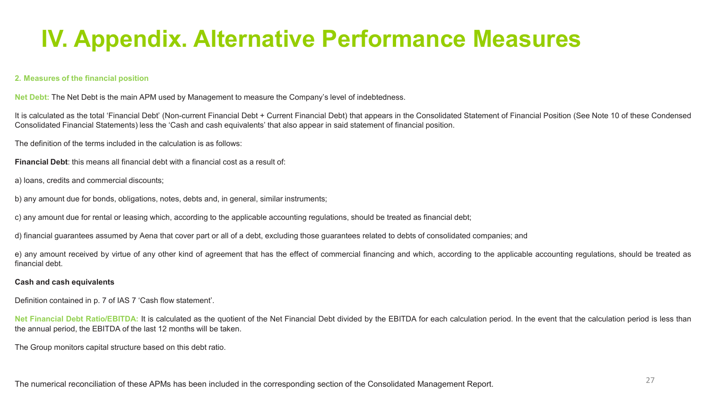### **IV. Appendix. Alternative Performance Measures**

#### **2. Measures of the financial position**

**Net Debt:** The Net Debt is the main APM used by Management to measure the Company's level of indebtedness.

It is calculated as the total 'Financial Debt' (Non-current Financial Debt + Current Financial Debt) that appears in the Consolidated Statement of Financial Position (See Note 10 of these Condensed Consolidated Financial Statements) less the 'Cash and cash equivalents' that also appear in said statement of financial position.

The definition of the terms included in the calculation is as follows:

**Financial Debt**: this means all financial debt with a financial cost as a result of:

a) loans, credits and commercial discounts;

b) any amount due for bonds, obligations, notes, debts and, in general, similar instruments;

c) any amount due for rental or leasing which, according to the applicable accounting regulations, should be treated as financial debt;

d) financial guarantees assumed by Aena that cover part or all of a debt, excluding those guarantees related to debts of consolidated companies; and

e) any amount received by virtue of any other kind of agreement that has the effect of commercial financing and which, according to the applicable accounting regulations, should be treated as financial debt.

#### **Cash and cash equivalents**

Definition contained in p. 7 of IAS 7 'Cash flow statement'.

**Net Financial Debt Ratio/EBITDA:** It is calculated as the quotient of the Net Financial Debt divided by the EBITDA for each calculation period. In the event that the calculation period is less than the annual period, the EBITDA of the last 12 months will be taken.

The Group monitors capital structure based on this debt ratio.

The numerical reconciliation of these APMs has been included in the corresponding section of the Consolidated Management Report.